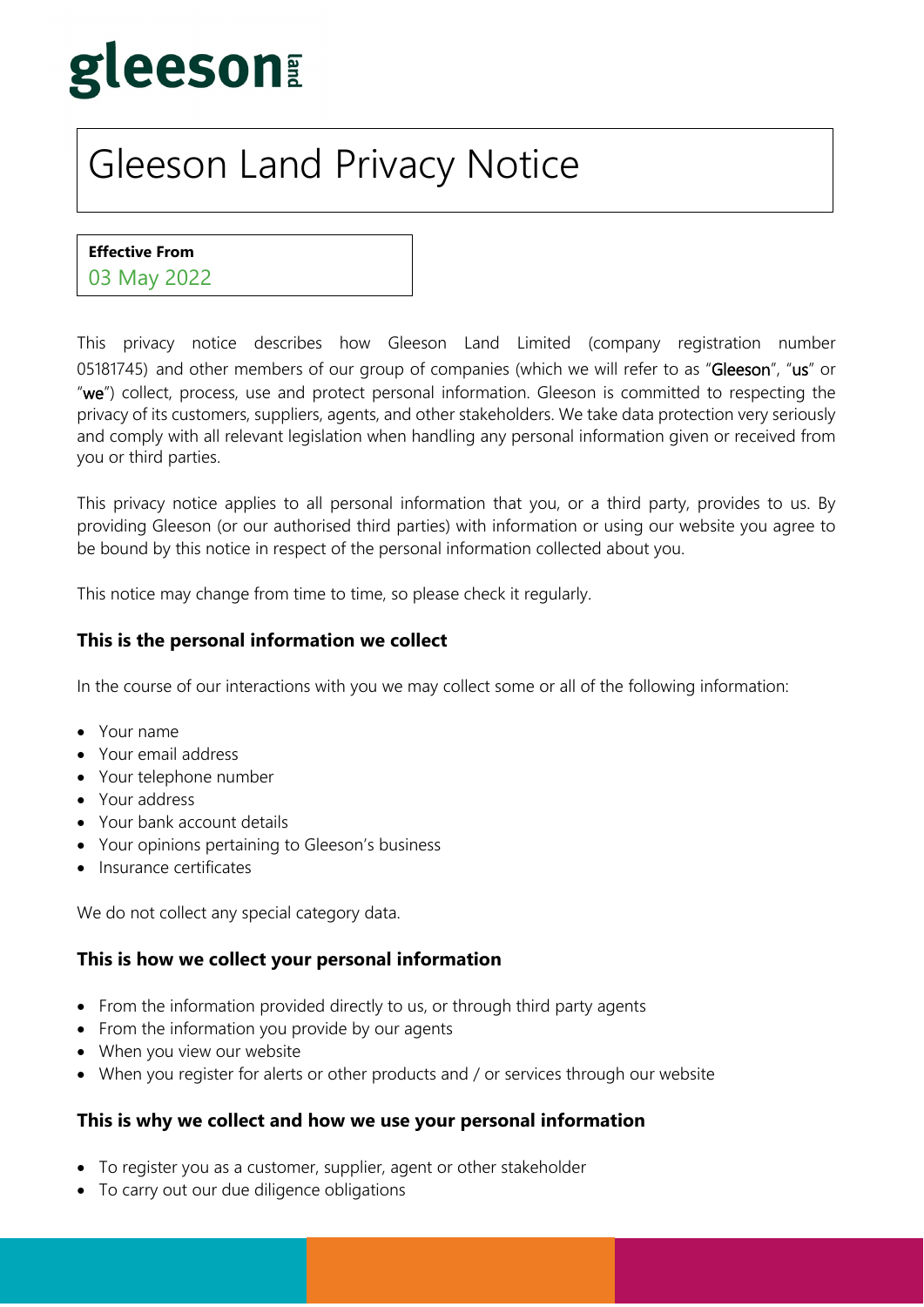# gleeson

# Gleeson Land Privacy Notice

**Effective From** 

03 May 2022

This privacy notice describes how Gleeson Land Limited (company registration number 05181745) and other members of our group of companies (which we will refer to as "Gleeson", "us" or "we") collect, process, use and protect personal information. Gleeson is committed to respecting the privacy of its customers, suppliers, agents, and other stakeholders. We take data protection very seriously and comply with all relevant legislation when handling any personal information given or received from you or third parties.

This privacy notice applies to all personal information that you, or a third party, provides to us. By providing Gleeson (or our authorised third parties) with information or using our website you agree to be bound by this notice in respect of the personal information collected about you.

This notice may change from time to time, so please check it regularly.

#### **This is the personal information we collect**

In the course of our interactions with you we may collect some or all of the following information:

- Your name
- Your email address
- Your telephone number
- Your address
- Your bank account details
- Your opinions pertaining to Gleeson's business
- Insurance certificates

We do not collect any special category data.

#### **This is how we collect your personal information**

- From the information provided directly to us, or through third party agents
- From the information you provide by our agents
- When you view our website
- When you register for alerts or other products and / or services through our website

#### **This is why we collect and how we use your personal information**

- To register you as a customer, supplier, agent or other stakeholder
- To carry out our due diligence obligations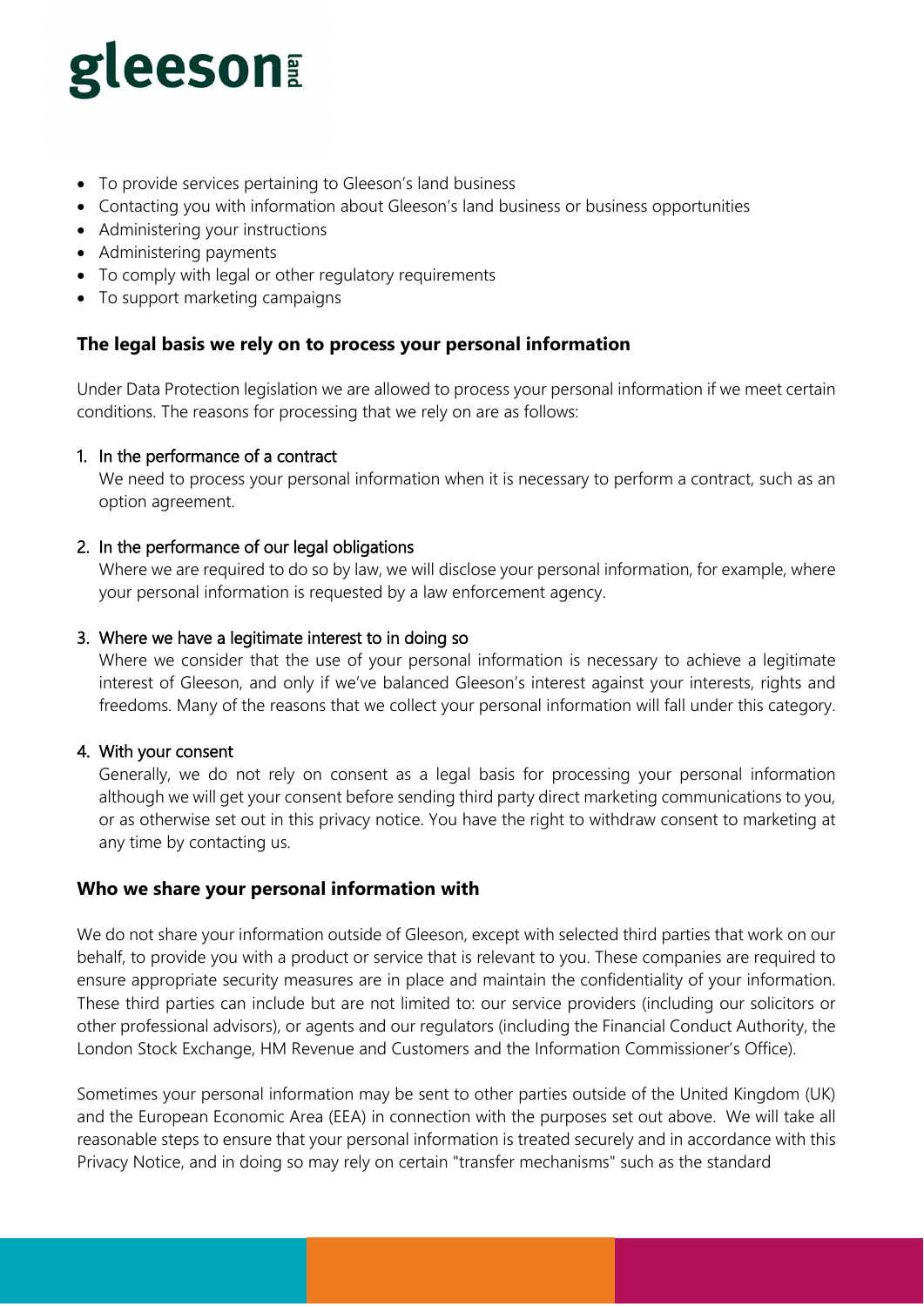# gleeson

- To provide services pertaining to Gleeson's land business
- Contacting you with information about Gleeson's land business or business opportunities
- Administering your instructions
- Administering payments
- To comply with legal or other regulatory requirements
- To support marketing campaigns

### **The legal basis we rely on to process your personal information**

Under Data Protection legislation we are allowed to process your personal information if we meet certain conditions. The reasons for processing that we rely on are as follows:

#### 1. In the performance of a contract

We need to process your personal information when it is necessary to perform a contract, such as an option agreement.

#### 2. In the performance of our legal obligations

Where we are required to do so by law, we will disclose your personal information, for example, where your personal information is requested by a law enforcement agency.

#### 3. Where we have a legitimate interest to in doing so

Where we consider that the use of your personal information is necessary to achieve a legitimate interest of Gleeson, and only if we've balanced Gleeson's interest against your interests, rights and freedoms. Many of the reasons that we collect your personal information will fall under this category.

#### 4. With your consent

Generally, we do not rely on consent as a legal basis for processing your personal information although we will get your consent before sending third party direct marketing communications to you, or as otherwise set out in this privacy notice. You have the right to withdraw consent to marketing at any time by contacting us.

#### **Who we share your personal information with**

We do not share your information outside of Gleeson, except with selected third parties that work on our behalf, to provide you with a product or service that is relevant to you. These companies are required to ensure appropriate security measures are in place and maintain the confidentiality of your information. These third parties can include but are not limited to: our service providers (including our solicitors or other professional advisors), or agents and our regulators (including the Financial Conduct Authority, the London Stock Exchange, HM Revenue and Customers and the Information Commissioner's Office).

Sometimes your personal information may be sent to other parties outside of the United Kingdom (UK) and the European Economic Area (EEA) in connection with the purposes set out above. We will take all reasonable steps to ensure that your personal information is treated securely and in accordance with this Privacy Notice, and in doing so may rely on certain "transfer mechanisms" such as the standard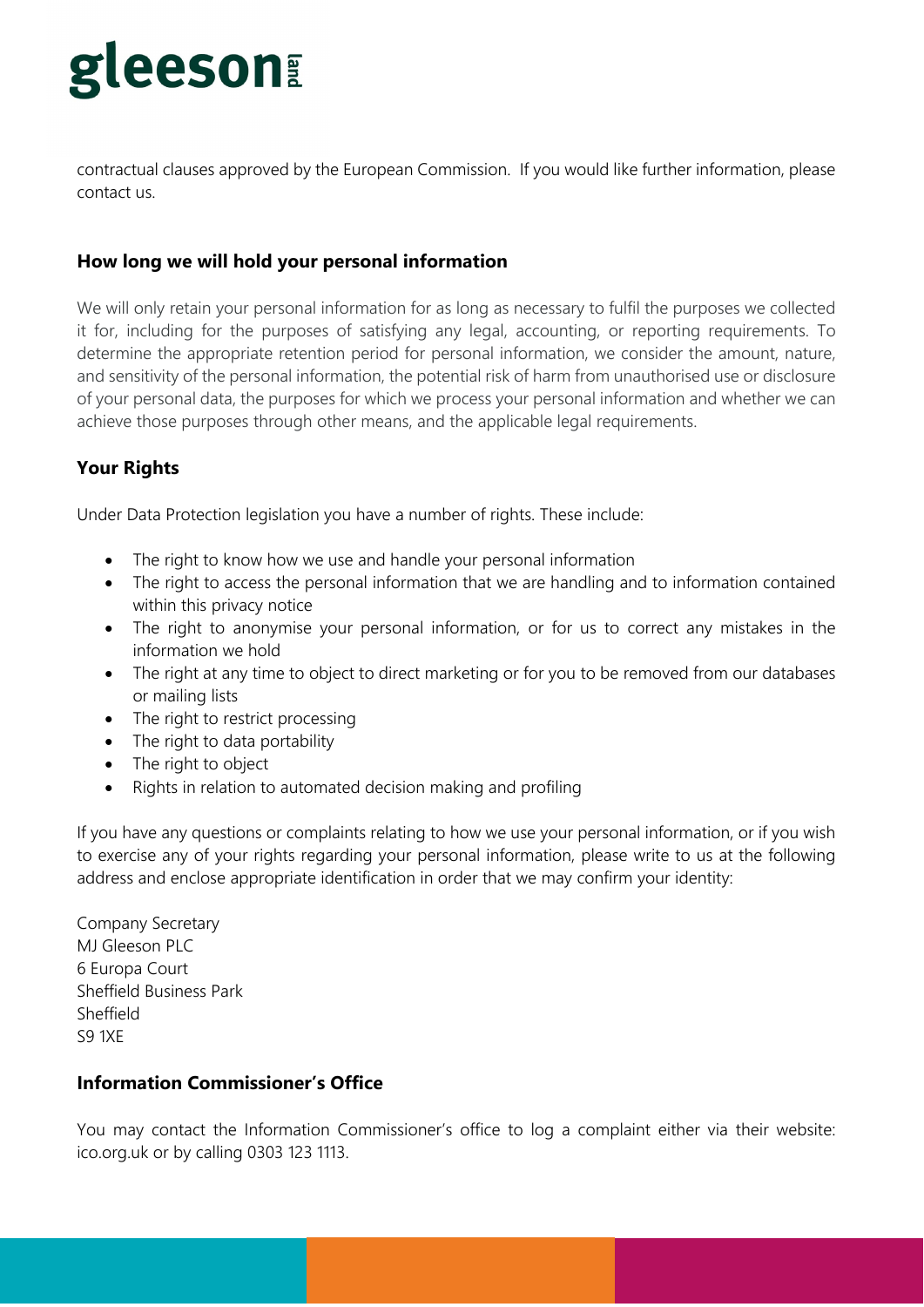# **Leeson**

contractual clauses approved by the European Commission. If you would like further information, please contact us.

### **How long we will hold your personal information**

We will only retain your personal information for as long as necessary to fulfil the purposes we collected it for, including for the purposes of satisfying any legal, accounting, or reporting requirements. To determine the appropriate retention period for personal information, we consider the amount, nature, and sensitivity of the personal information, the potential risk of harm from unauthorised use or disclosure of your personal data, the purposes for which we process your personal information and whether we can achieve those purposes through other means, and the applicable legal requirements.

## **Your Rights**

Under Data Protection legislation you have a number of rights. These include:

- The right to know how we use and handle your personal information
- The right to access the personal information that we are handling and to information contained within this privacy notice
- The right to anonymise your personal information, or for us to correct any mistakes in the information we hold
- The right at any time to object to direct marketing or for you to be removed from our databases or mailing lists
- The right to restrict processing
- The right to data portability
- The right to object
- Rights in relation to automated decision making and profiling

If you have any questions or complaints relating to how we use your personal information, or if you wish to exercise any of your rights regarding your personal information, please write to us at the following address and enclose appropriate identification in order that we may confirm your identity:

Company Secretary MJ Gleeson PLC 6 Europa Court Sheffield Business Park Sheffield S9 1XE

#### **Information Commissioner's Office**

You may contact the Information Commissioner's office to log a complaint either via their website: ico.org.uk or by calling 0303 123 1113.